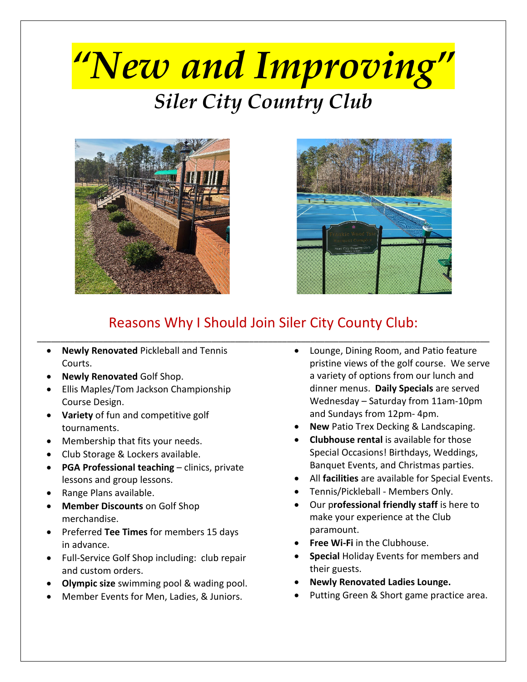# *"New and Improving" Siler City Country Club*





### Reasons Why I Should Join Siler City County Club: \_\_\_\_\_\_\_\_\_\_\_\_\_\_\_\_\_\_\_\_\_\_\_\_\_\_\_\_\_\_\_\_\_\_\_\_\_\_\_\_\_\_\_\_\_\_\_\_\_\_\_\_\_\_\_\_\_\_\_\_\_\_\_\_\_\_\_\_\_\_\_\_\_\_\_\_\_\_\_\_\_\_\_\_\_\_\_\_\_\_\_\_\_\_\_\_

- **Newly Renovated** Pickleball and Tennis Courts.
- **Newly Renovated** Golf Shop.
- Ellis Maples/Tom Jackson Championship Course Design.
- **Variety** of fun and competitive golf tournaments.
- Membership that fits your needs.
- Club Storage & Lockers available.
- **PGA Professional teaching**  clinics, private lessons and group lessons.
- Range Plans available.
- **Member Discounts** on Golf Shop merchandise.
- Preferred **Tee Times** for members 15 days in advance.
- Full-Service Golf Shop including: club repair and custom orders.
- **Olympic size** swimming pool & wading pool.
- Member Events for Men, Ladies, & Juniors.
- Lounge, Dining Room, and Patio feature pristine views of the golf course. We serve a variety of options from our lunch and dinner menus. **Daily Specials** are served Wednesday – Saturday from 11am-10pm and Sundays from 12pm- 4pm.
- **New** Patio Trex Decking & Landscaping.
- **Clubhouse rental** is available for those Special Occasions! Birthdays, Weddings, Banquet Events, and Christmas parties.
- All **facilities** are available for Special Events.
- Tennis/Pickleball Members Only.
- Our p**rofessional friendly staff** is here to make your experience at the Club paramount.
- **Free Wi-Fi** in the Clubhouse.
- **Special** Holiday Events for members and their guests.
- **Newly Renovated Ladies Lounge.**
- Putting Green & Short game practice area.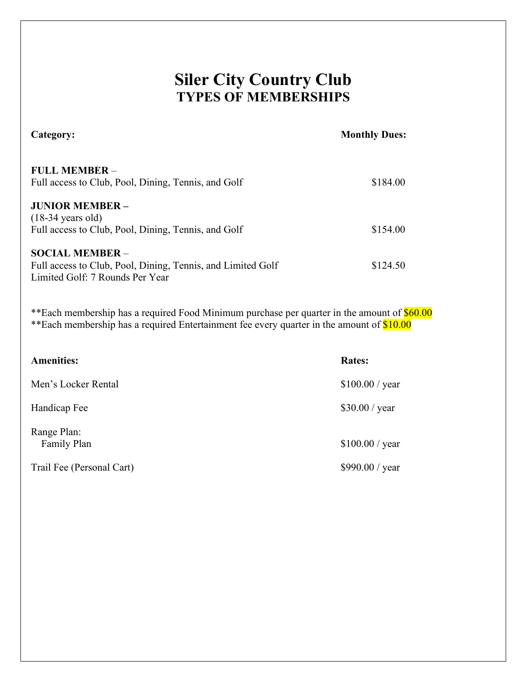## **Siler City Country Club TYPES OF MEMBERSHIPS**

| <b>FULL MEMBER -</b><br>Full access to Club, Pool, Dining, Tennis, and Golf                                              | \$184.00 |
|--------------------------------------------------------------------------------------------------------------------------|----------|
| <b>JUNIOR MEMBER –</b><br>$(18-34 \text{ years old})$<br>Full access to Club, Pool, Dining, Tennis, and Golf             | \$154.00 |
| <b>SOCIAL MEMBER –</b><br>Full access to Club, Pool, Dining, Tennis, and Limited Golf<br>Limited Golf: 7 Rounds Per Year | \$124.50 |

**Category: Monthly Dues:**

\*\*Each membership has a required Food Minimum purchase per quarter in the amount of \$60.00 \*\*Each membership has a required Entertainment fee every quarter in the amount of \$10.00

| <b>Amenities:</b>          | <b>Rates:</b>   |
|----------------------------|-----------------|
| Men's Locker Rental        | \$100.00 / year |
| Handicap Fee               | \$30.00 / year  |
| Range Plan:<br>Family Plan | \$100.00 / year |
| Trail Fee (Personal Cart)  | \$990.00 / year |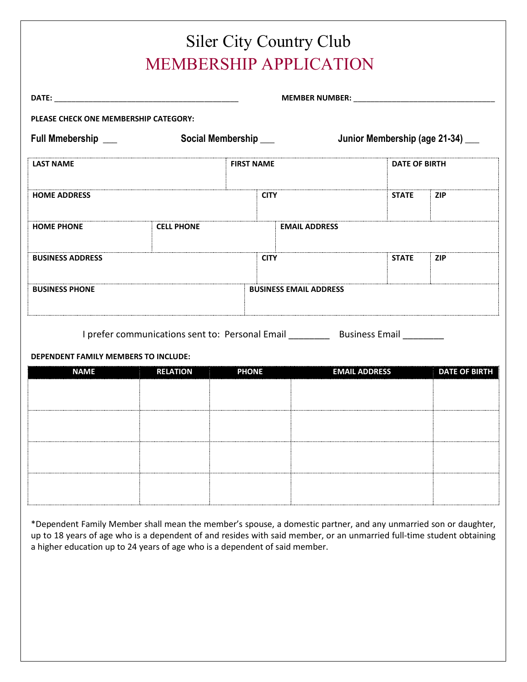| PLEASE CHECK ONE MEMBERSHIP CATEGORY:                                            |             | MEMBER NUMBER: _________________________ |                                                       |  |  |
|----------------------------------------------------------------------------------|-------------|------------------------------------------|-------------------------------------------------------|--|--|
|                                                                                  |             |                                          |                                                       |  |  |
|                                                                                  |             |                                          |                                                       |  |  |
| Full Mmebership ___<br>Social Membership ___<br>Junior Membership (age 21-34) __ |             |                                          |                                                       |  |  |
| <b>FIRST NAME</b>                                                                |             |                                          | <b>DATE OF BIRTH</b>                                  |  |  |
|                                                                                  | <b>CITY</b> | <b>STATE</b>                             | ZIP                                                   |  |  |
| <b>CELL PHONE</b>                                                                |             |                                          |                                                       |  |  |
|                                                                                  | <b>CITY</b> | <b>STATE</b>                             | <b>ZIP</b>                                            |  |  |
|                                                                                  |             |                                          |                                                       |  |  |
|                                                                                  |             |                                          | <b>EMAIL ADDRESS</b><br><b>BUSINESS EMAIL ADDRESS</b> |  |  |

I prefer communications sent to: Personal Email \_\_\_\_\_\_\_\_\_ Business Email \_\_\_\_\_\_\_

**DEPENDENT FAMILY MEMBERS TO INCLUDE:**

| <b>NAME</b> | <b>RELATION</b> | <b>PHONE</b> | <b>EMAIL ADDRESS</b> | <b>DATE OF BIRTH</b> |
|-------------|-----------------|--------------|----------------------|----------------------|
|             |                 |              |                      |                      |
|             |                 |              |                      |                      |
|             |                 |              |                      |                      |
|             |                 |              |                      |                      |
|             |                 |              |                      |                      |
|             |                 |              |                      |                      |
|             |                 |              |                      |                      |
|             |                 |              |                      |                      |
|             |                 |              |                      |                      |

\*Dependent Family Member shall mean the member's spouse, a domestic partner, and any unmarried son or daughter, up to 18 years of age who is a dependent of and resides with said member, or an unmarried full-time student obtaining a higher education up to 24 years of age who is a dependent of said member.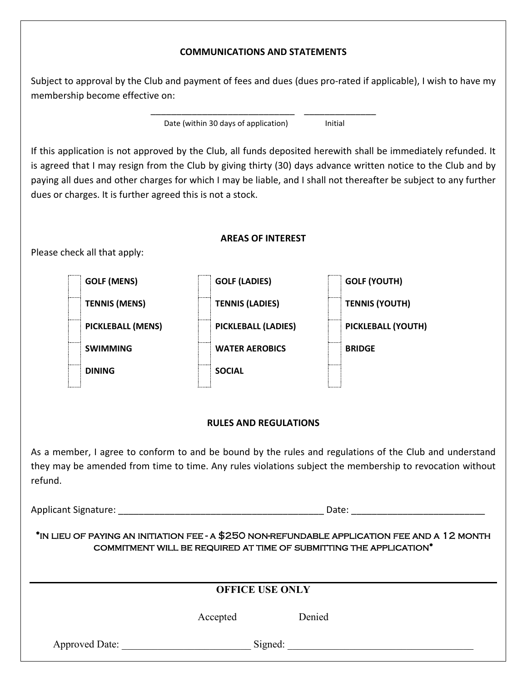#### **COMMUNICATIONS AND STATEMENTS**

Subject to approval by the Club and payment of fees and dues (dues pro-rated if applicable), I wish to have my membership become effective on:

\_\_\_\_\_\_\_\_\_\_\_\_\_\_\_\_\_\_\_\_\_\_\_\_\_\_\_\_ \_\_\_\_\_\_\_\_\_\_\_\_\_\_

Date (within 30 days of application) lnitial

If this application is not approved by the Club, all funds deposited herewith shall be immediately refunded. It is agreed that I may resign from the Club by giving thirty (30) days advance written notice to the Club and by paying all dues and other charges for which I may be liable, and I shall not thereafter be subject to any further dues or charges. It is further agreed this is not a stock.

#### **AREAS OF INTEREST**

Please check all that apply:



#### **RULES AND REGULATIONS**

As a member, I agree to conform to and be bound by the rules and regulations of the Club and understand they may be amended from time to time. Any rules violations subject the membership to revocation without refund.

Applicant Signature: \_\_\_\_\_\_\_\_\_\_\_\_\_\_\_\_\_\_\_\_\_\_\_\_\_\_\_\_\_\_\_\_\_\_\_\_\_\_\_\_ Date: \_\_\_\_\_\_\_\_\_\_\_\_\_\_\_\_\_\_\_\_\_\_\_\_\_\_

\*in lieu of paying an initiation fee - a \$250 non-refundable application fee and a 12 month commitment will be required at time of submitting the application\*

|                | <b>OFFICE USE ONLY</b> |         |
|----------------|------------------------|---------|
|                | Accepted               | Denied  |
| Approved Date: |                        | Signed: |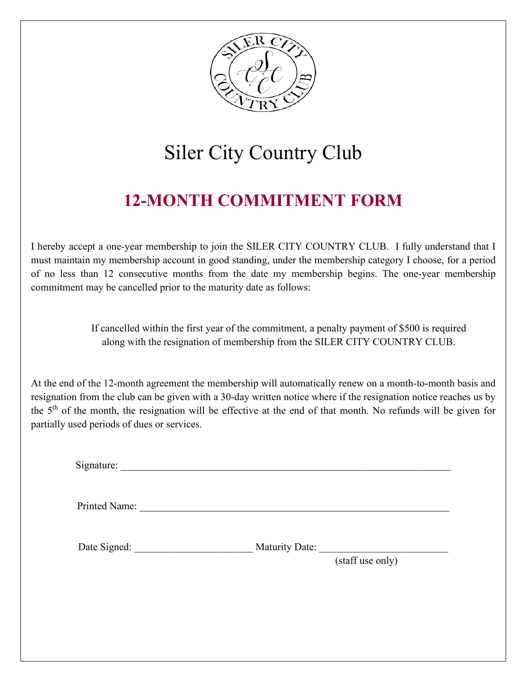

# Siler City Country Club

# **12-MONTH COMMITMENT FORM**

I hereby accept a one-year membership to join the SILER CITY COUNTRY CLUB. I fully understand that I must maintain my membership account in good standing, under the membership category I choose, for a period of no less than 12 consecutive months from the date my membership begins. The one-year membership commitment may be cancelled prior to the maturity date as follows:

> If cancelled within the first year of the commitment, a penalty payment of \$500 is required along with the resignation of membership from the SILER CITY COUNTRY CLUB.

At the end of the 12-month agreement the membership will automatically renew on a month-to-month basis and resignation from the club can be given with a 30-day written notice where if the resignation notice reaches us by the 5th of the month, the resignation will be effective at the end of that month. No refunds will be given for partially used periods of dues or services.

Signature: \_\_\_\_\_\_\_\_\_\_\_\_\_\_\_\_\_\_\_\_\_\_\_\_\_\_\_\_\_\_\_\_\_\_\_\_\_\_\_\_\_\_\_\_\_\_\_\_\_\_\_\_\_\_\_\_\_\_\_\_\_\_\_\_

Printed Name:

Date Signed: \_\_\_\_\_\_\_\_\_\_\_\_\_\_\_\_\_\_\_\_\_\_\_\_\_\_ Maturity Date:

(staff use only)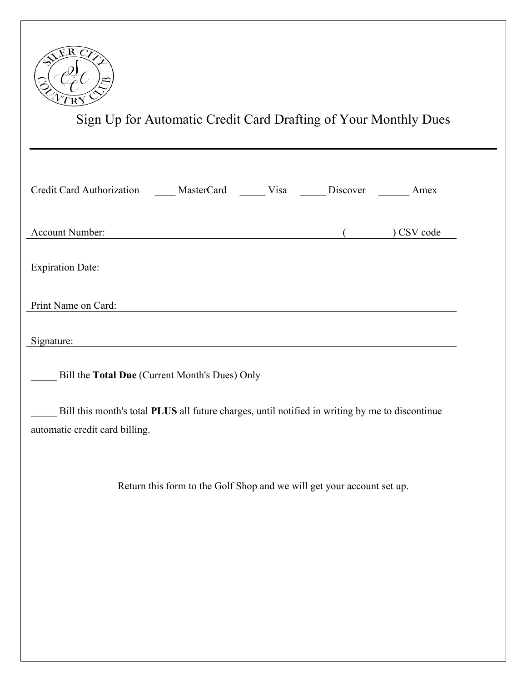

Sign Up for Automatic Credit Card Drafting of Your Monthly Dues

| Credit Card Authorization ______ MasterCard _______ Visa _______ Discover _______ Amex |                                                                                                 |  |            |
|----------------------------------------------------------------------------------------|-------------------------------------------------------------------------------------------------|--|------------|
| Account Number:                                                                        | <u> 1989 - Johann Barnett, fransk politiker (d. 1989)</u>                                       |  | ) CSV code |
| <b>Expiration Date:</b>                                                                |                                                                                                 |  |            |
| Print Name on Card:                                                                    |                                                                                                 |  |            |
| Signature:                                                                             |                                                                                                 |  |            |
|                                                                                        | Bill the Total Due (Current Month's Dues) Only                                                  |  |            |
| automatic credit card billing.                                                         | Bill this month's total PLUS all future charges, until notified in writing by me to discontinue |  |            |
|                                                                                        | Return this form to the Golf Shop and we will get your account set up.                          |  |            |
|                                                                                        |                                                                                                 |  |            |
|                                                                                        |                                                                                                 |  |            |
|                                                                                        |                                                                                                 |  |            |
|                                                                                        |                                                                                                 |  |            |
|                                                                                        |                                                                                                 |  |            |